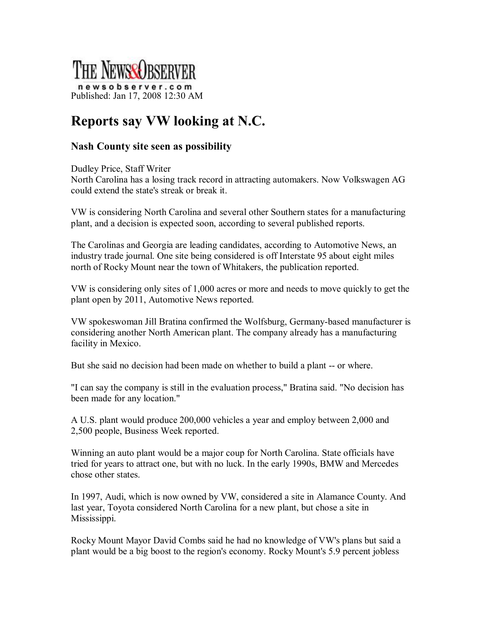

## **Reports say VW looking at N.C.**

## **Nash County site seen as possibility**

Dudley Price, Staff Writer North Carolina has a losing track record in attracting automakers. Now Volkswagen AG could extend the state's streak or break it.

VW is considering North Carolina and several other Southern states for a manufacturing plant, and a decision is expected soon, according to several published reports.

The Carolinas and Georgia are leading candidates, according to Automotive News, an industry trade journal. One site being considered is off Interstate 95 about eight miles north of Rocky Mount near the town of Whitakers, the publication reported.

VW is considering only sites of 1,000 acres or more and needs to move quickly to get the plant open by 2011, Automotive News reported.

VW spokeswoman Jill Bratina confirmed the Wolfsburg, Germany-based manufacturer is considering another North American plant. The company already has a manufacturing facility in Mexico.

But she said no decision had been made on whether to build a plant -- or where.

"I can say the company is still in the evaluation process," Bratina said. "No decision has been made for any location."

A U.S. plant would produce 200,000 vehicles a year and employ between 2,000 and 2,500 people, Business Week reported.

Winning an auto plant would be a major coup for North Carolina. State officials have tried for years to attract one, but with no luck. In the early 1990s, BMW and Mercedes chose other states.

In 1997, Audi, which is now owned by VW, considered a site in Alamance County. And last year, Toyota considered North Carolina for a new plant, but chose a site in Mississippi.

Rocky Mount Mayor David Combs said he had no knowledge of VW's plans but said a plant would be a big boost to the region's economy. Rocky Mount's 5.9 percent jobless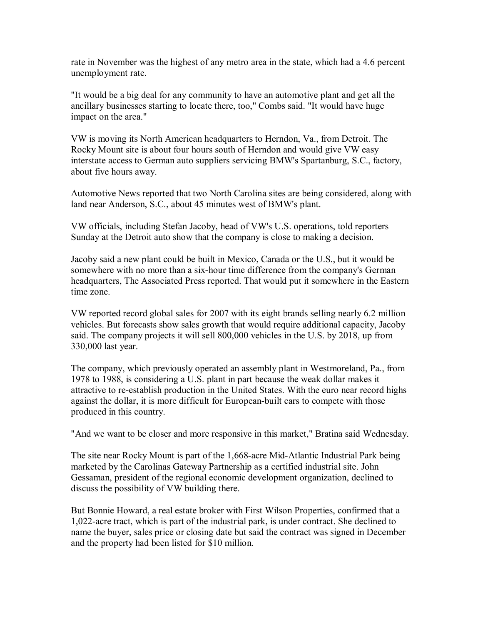rate in November was the highest of any metro area in the state, which had a 4.6 percent unemployment rate.

"It would be a big deal for any community to have an automotive plant and get all the ancillary businesses starting to locate there, too," Combs said. "It would have huge impact on the area."

VW is moving its North American headquarters to Herndon, Va., from Detroit. The Rocky Mount site is about four hours south of Herndon and would give VW easy interstate access to German auto suppliers servicing BMW's Spartanburg, S.C., factory, about five hours away.

Automotive News reported that two North Carolina sites are being considered, along with land near Anderson, S.C., about 45 minutes west of BMW's plant.

VW officials, including Stefan Jacoby, head of VW's U.S. operations, told reporters Sunday at the Detroit auto show that the company is close to making a decision.

Jacoby said a new plant could be built in Mexico, Canada or the U.S., but it would be somewhere with no more than a six-hour time difference from the company's German headquarters, The Associated Press reported. That would put it somewhere in the Eastern time zone.

VW reported record global sales for 2007 with its eight brands selling nearly 6.2 million vehicles. But forecasts show sales growth that would require additional capacity, Jacoby said. The company projects it will sell 800,000 vehicles in the U.S. by 2018, up from 330,000 last year.

The company, which previously operated an assembly plant in Westmoreland, Pa., from 1978 to 1988, is considering a U.S. plant in part because the weak dollar makes it attractive to re-establish production in the United States. With the euro near record highs against the dollar, it is more difficult for European-built cars to compete with those produced in this country.

"And we want to be closer and more responsive in this market," Bratina said Wednesday.

The site near Rocky Mount is part of the 1,668-acre Mid-Atlantic Industrial Park being marketed by the Carolinas Gateway Partnership as a certified industrial site. John Gessaman, president of the regional economic development organization, declined to discuss the possibility of VW building there.

But Bonnie Howard, a real estate broker with First Wilson Properties, confirmed that a 1,022acre tract, which is part of the industrial park, is under contract. She declined to name the buyer, sales price or closing date but said the contract was signed in December and the property had been listed for \$10 million.